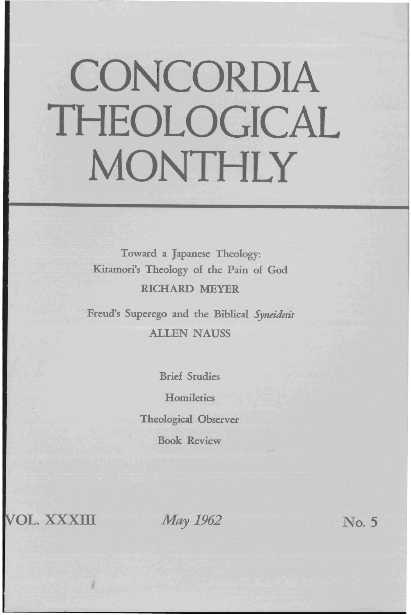# **CONCORDIA THEOLOGICAL MONTHLY**

Toward a Japanese Theology: Kitamori's Theology of the Pain of God RICHARD MEYER

Freud's Superego and the Biblical *Syneidesis*  ALLEN NAUSS

> Brief Studies **Homiletics** Theological Observer Book Review

**VOL. XXXIII** *May 1962* **No. 5**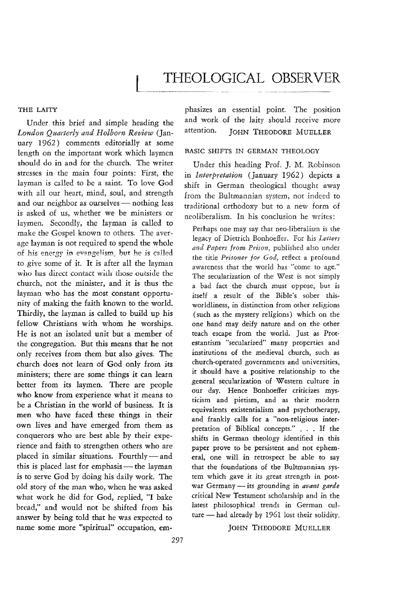# **THEOLOGICAL** OBSERVER

#### THE LAITY

Under this brief and simple heading the *London Quarterly and Holhorn Review* (January 1962) comments editorially at some length on the important work which laymen should do in and for the church. The writer stresses in the main four points: First, the layman is called to be a saint. To love God with all our heart, mind, soul, and strength and our neighbor as ourselves - nothing less is asked of us, whether we be ministers or laymen. Secondly, the layman is called to make the Gospel known to others. The average layman is not required to spend the whole of his energy in evangelism, but he is called to give some of it. It is after all the layman who has direct contact with those outside the church, not the minister, and it is thus the layman who has the most constant opportunity of making the faith known to the world. Thirdly, the layman is called to build up his fellow Christians with whom he worships. He is not an isolated unit but a member of the congregation. But this means that he not only receives from them but also gives. The church does not learn of God only from its ministers; there are some things it can learn better from its laymen. There are people who know from experience what it means to be a Christian in the world of business. It is men who have faced these things in their own lives and have emerged from them as conquerors who are best able by their experience and faith to strengthen others who are placed in similar situations. Fourthly-and this is placed last for emphasis - the layman is to serve God by doing his daily work. The old story of the man who, when he was asked what work he did for God, replied, "I bake bread," and would not be shifted from his answer by being told that he was expected to name some more "spiritual" occupation, emphasizes an essential point. The position and work of the laity should receive more attention. JOHN THEODORE MUELLER

## BASIC SHIFTS IN GERMAN THEOLOGY

Under this heading Prof. J. M. Robinson in *Interpretation* (January 1962) depicts a shift in German theological thought away from the Bultmannian system, not indeed to traditional orthodoxy but to a new form of neoliberalism. In his conclusion he writes:

Perhaps one may say that neo-liberalism is the legacy of Dietrich Bonhoeffer. For his *Letters and Papers from Prison,* published also under the title *Prisoner for God,* reflect a profound awareness that the world has "come to age." The secularization of the West is not simply a bad fact the church must oppose, but is itself a result of the Bible's sober thisworldliness, in distinction from other religions (such as the mystery religions) which on the one hand may deify nature and on the other teach escape from the world. Just as Protestantism "secularized" many properties and institutions of the medieval church, such as church-operated governments and universities, it should have a positive relationship to the general secularization of Western culture in our day. Hence Bonhoeffer criticizes mysticism and pietism, and as their modern equivalents existentialism and psychotherapy, and frankly calls for a "non-religious interpretation of Biblical concepts." . . . If the shifts in German theology identified in this paper prove to be persistent and not ephemeral, one will in retrospect be able to say that the foundations of the Bultmannian system which gave it its great strength in postwar Germany - its grounding in *avant garde* critical New Testament scholarship and in the latest philosophical trends in German culture  $-$  had already by 1961 lost their solidity.

#### JOHN THEODORE MUELLER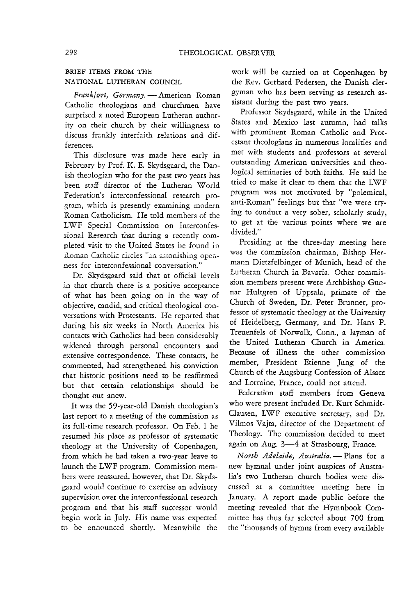## BRIEF ITEMS FROM THE NATIONAL LUTHERAN COUNCIL

*Frankfurt, Germany.* - American Roman Catholic theologians and churchmen have surprised a noted European Lutheran authority on their church *by* their willingness to discuss frankly interfaith relations and differences.

This disclosure was made here early in February *by* Prof. K. E. Skydsgaard, the Danish theologian who for the past two years has been staff director of the Lutheran World Federation's interconfessional research program, which is presently examining modern Roman Catholicism. He told members of the L WF Special Commission on Interconfessional Research that during a recently completed visit to the United States he found in Roman Catholic circles "an astonishing openness for interconfessional conversation."

Dr. Skydsgaard said that at official levels in that church there is a positive acceptance of what has been going on in the way of objective, candid, and critical theological conversations with Protestants. He reported that during his six weeks in North America his contacts with Catholics had been considerably widened through personal encounters and extensive correspondence. These contacts, he commented, had strengthened his conviction that historic positions need to be reaffirmed but that certain relationships should be thought out anew.

It was the 59-year-old Danish theologian's Iast report to a meeting of the commission as its full-time research professor. On Feb. 1 he resumed his place as professor of systematic theology at the University of Copenhagen, from which he had taken a two-year leave to launch the LWF program. Commission members were reassured, however, that Dr. Skydsgaard would continue to exercise an advisory supervision over the interconfessional research program and that his staff successor would begin work in July. His name was expected to be announced shortly. Meanwhile the

work will be carried on at Copenhagen by the Rev. Gerhard Pedersen, the Danish clergyman who has been serving as research assistant during the past two years.

Professor Skydsgaard, while in the United States and Mexico last autumn, had talks with prominent Roman Catholic and Protestant theologians in numerous localities and met with students and professors at several outstanding American universities and theological seminaries of both faiths. He said he tried to make it clear to them that the LWF program was not motivated by "polemical, anti-Roman" feelings but that "we were trying to conduct a very sober, scholarly study, to get at the various points where we are divided."

Presiding at the three-day meeting here was the commission chairman, Bishop Hermann Dietzfelbinger of Munich, head of the Lutheran **Church in Bavaria.** Other commission members present were Archbishop Gunnar Hultgren of Uppsala, primate of the Church of Sweden, Dr. Peter Brunner, professor of systematic theology at the University of Heidelberg, Germany, and Dr. Hans P. Treuenfels of Norwalk, Conn., a layman of the United Lutheran Church in America. Because of illness the other commission member, President Etienne Jung of the Church of the Augsburg Confession of Alsace and Lorraine, France, could not attend.

Federation staff members from Geneva who were present included Dr. Kurt Schmidt-Clausen, LWF executive secretary, and Dr. Vilmos Vajta, director of the Department of Theology. The commission decided to meet again on Aug. 3-4 at Strasbourg, France.

*North Adelaide, Australia.* - Plans for a new hymnal under joint auspices of Australia's two Lutheran church bodies were discussed at a committee meeting here in January. A report made public before the meeting revealed that the Hymnbook Committee has thus far selected about 700 from the "thousands of hymns from every available